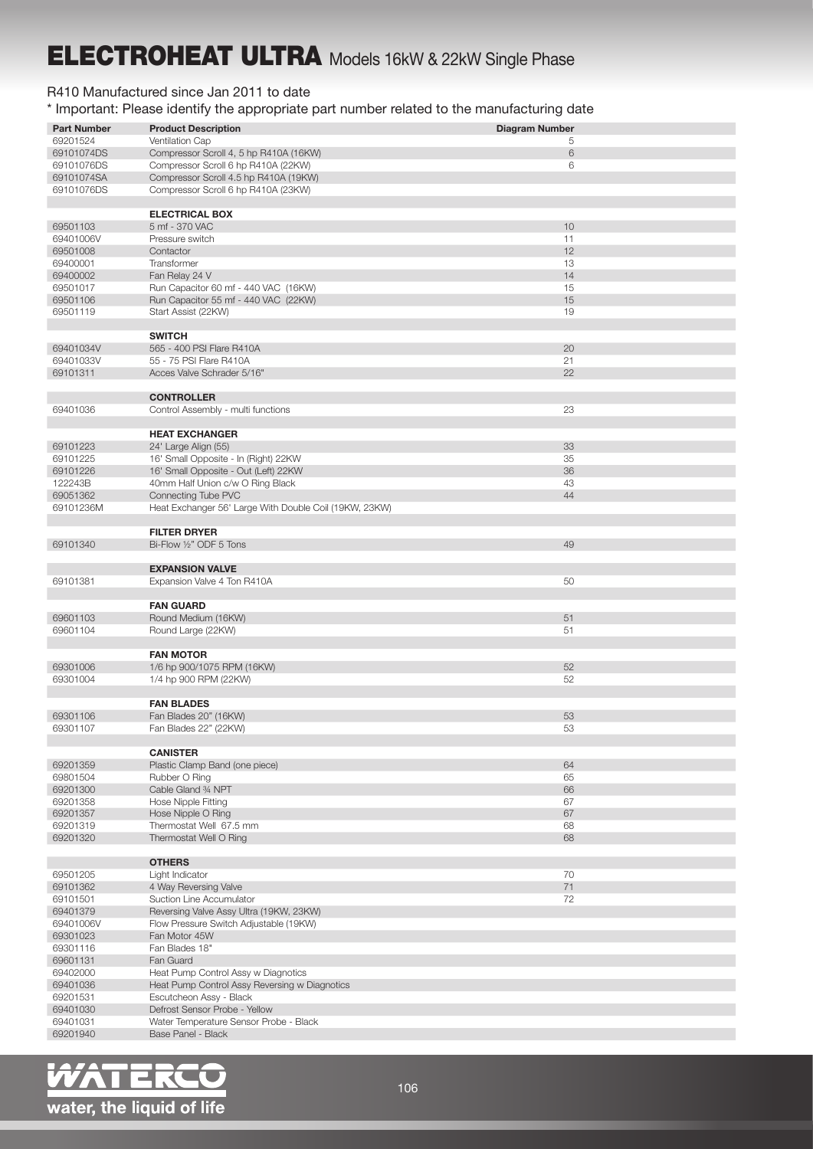## ELECTROHEAT ULTRA Models 16kW & 22kW Single Phase

## R410 Manufactured since Jan 2011 to date

\* Important: Please identify the appropriate part number related to the manufacturing date

| <b>Part Number</b> | <b>Product Description</b>                             | <b>Diagram Number</b> |  |  |
|--------------------|--------------------------------------------------------|-----------------------|--|--|
| 69201524           | Ventilation Cap                                        | 5                     |  |  |
| 69101074DS         | Compressor Scroll 4, 5 hp R410A (16KW)                 | 6                     |  |  |
| 69101076DS         | Compressor Scroll 6 hp R410A (22KW)<br>6               |                       |  |  |
| 69101074SA         | Compressor Scroll 4.5 hp R410A (19KW)                  |                       |  |  |
| 69101076DS         | Compressor Scroll 6 hp R410A (23KW)                    |                       |  |  |
|                    |                                                        |                       |  |  |
|                    | <b>ELECTRICAL BOX</b>                                  |                       |  |  |
| 69501103           | 5 mf - 370 VAC                                         | 10                    |  |  |
| 69401006V          | Pressure switch                                        | 11                    |  |  |
| 69501008           | Contactor                                              | 12                    |  |  |
| 69400001           | Transformer                                            | 13                    |  |  |
| 69400002           | Fan Relay 24 V                                         | 14                    |  |  |
| 69501017           | Run Capacitor 60 mf - 440 VAC (16KW)                   | 15                    |  |  |
| 69501106           | Run Capacitor 55 mf - 440 VAC (22KW)                   | 15                    |  |  |
| 69501119           | Start Assist (22KW)                                    | 19                    |  |  |
|                    |                                                        |                       |  |  |
|                    | <b>SWITCH</b>                                          |                       |  |  |
| 69401034V          | 565 - 400 PSI Flare R410A                              | 20                    |  |  |
| 69401033V          | 55 - 75 PSI Flare R410A                                | 21                    |  |  |
| 69101311           | Acces Valve Schrader 5/16"                             | 22                    |  |  |
|                    |                                                        |                       |  |  |
|                    | <b>CONTROLLER</b>                                      |                       |  |  |
| 69401036           | Control Assembly - multi functions                     | 23                    |  |  |
|                    |                                                        |                       |  |  |
|                    | <b>HEAT EXCHANGER</b>                                  |                       |  |  |
| 69101223           | 24' Large Align (55)                                   | 33                    |  |  |
| 69101225           | 16' Small Opposite - In (Right) 22KW                   | 35                    |  |  |
|                    | 16' Small Opposite - Out (Left) 22KW                   | 36                    |  |  |
| 69101226           |                                                        |                       |  |  |
| 122243B            | 40mm Half Union c/w O Ring Black                       | 43                    |  |  |
| 69051362           | Connecting Tube PVC                                    | 44                    |  |  |
| 69101236M          | Heat Exchanger 56' Large With Double Coil (19KW, 23KW) |                       |  |  |
|                    |                                                        |                       |  |  |
|                    | <b>FILTER DRYER</b>                                    |                       |  |  |
| 69101340           | Bi-Flow 1/2" ODF 5 Tons                                | 49                    |  |  |
|                    |                                                        |                       |  |  |
|                    | <b>EXPANSION VALVE</b>                                 |                       |  |  |
| 69101381           | Expansion Valve 4 Ton R410A                            | 50                    |  |  |
|                    |                                                        |                       |  |  |
|                    | <b>FAN GUARD</b>                                       |                       |  |  |
| 69601103           | Round Medium (16KW)                                    | 51                    |  |  |
| 69601104           | Round Large (22KW)                                     | 51                    |  |  |
|                    |                                                        |                       |  |  |
|                    | <b>FAN MOTOR</b>                                       |                       |  |  |
| 69301006           | 1/6 hp 900/1075 RPM (16KW)                             | 52                    |  |  |
| 69301004           | 1/4 hp 900 RPM (22KW)                                  | 52                    |  |  |
|                    |                                                        |                       |  |  |
|                    | <b>FAN BLADES</b>                                      |                       |  |  |
| 69301106           | Fan Blades 20" (16KW)                                  | 53                    |  |  |
| 69301107           | Fan Blades 22" (22KW)                                  | ර්ර                   |  |  |
|                    |                                                        |                       |  |  |
|                    | <b>CANISTER</b>                                        |                       |  |  |
| 69201359           | Plastic Clamp Band (one piece)                         | 64                    |  |  |
| 69801504           | Rubber O Ring                                          | 65                    |  |  |
| 69201300           | Cable Gland 34 NPT                                     | 66                    |  |  |
| 69201358           | Hose Nipple Fitting                                    | 67                    |  |  |
| 69201357           | Hose Nipple O Ring                                     | 67                    |  |  |
| 69201319           | Thermostat Well 67.5 mm                                | 68                    |  |  |
| 69201320           | Thermostat Well O Ring                                 | 68                    |  |  |
|                    |                                                        |                       |  |  |
|                    | <b>OTHERS</b>                                          |                       |  |  |
| 69501205           | Light Indicator                                        | 70                    |  |  |
| 69101362           | 4 Way Reversing Valve                                  | 71                    |  |  |
| 69101501           | Suction Line Accumulator                               | 72                    |  |  |
| 69401379           | Reversing Valve Assy Ultra (19KW, 23KW)                |                       |  |  |
| 69401006V          | Flow Pressure Switch Adjustable (19KW)                 |                       |  |  |
| 69301023           | Fan Motor 45W                                          |                       |  |  |
| 69301116           | Fan Blades 18"                                         |                       |  |  |
| 69601131           | Fan Guard                                              |                       |  |  |
| 69402000           | Heat Pump Control Assy w Diagnotics                    |                       |  |  |
| 69401036           | Heat Pump Control Assy Reversing w Diagnotics          |                       |  |  |
| 69201531           | Escutcheon Assy - Black                                |                       |  |  |
| 69401030           | Defrost Sensor Probe - Yellow                          |                       |  |  |
| 69401031           | Water Temperature Sensor Probe - Black                 |                       |  |  |
| 69201940           | Base Panel - Black                                     |                       |  |  |